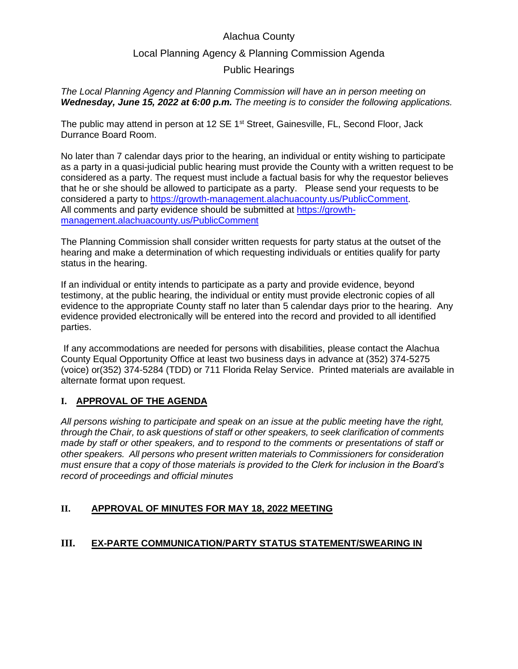## Alachua County

## Local Planning Agency & Planning Commission Agenda

## Public Hearings

*The Local Planning Agency and Planning Commission will have an in person meeting on Wednesday, June 15, 2022 at 6:00 p.m. The meeting is to consider the following applications.* 

The public may attend in person at 12 SE 1<sup>st</sup> Street, Gainesville, FL, Second Floor, Jack Durrance Board Room.

No later than 7 calendar days prior to the hearing, an individual or entity wishing to participate as a party in a quasi-judicial public hearing must provide the County with a written request to be considered as a party. The request must include a factual basis for why the requestor believes that he or she should be allowed to participate as a party. Please send your requests to be considered a party to [https://growth-management.alachuacounty.us/PublicComment.](https://growth-management.alachuacounty.us/PublicComment) All comments and party evidence should be submitted at [https://growth](https://growth-management.alachuacounty.us/PublicComment)[management.alachuacounty.us/PublicComment](https://growth-management.alachuacounty.us/PublicComment)

The Planning Commission shall consider written requests for party status at the outset of the hearing and make a determination of which requesting individuals or entities qualify for party status in the hearing.

If an individual or entity intends to participate as a party and provide evidence, beyond testimony, at the public hearing, the individual or entity must provide electronic copies of all evidence to the appropriate County staff no later than 5 calendar days prior to the hearing. Any evidence provided electronically will be entered into the record and provided to all identified parties.

If any accommodations are needed for persons with disabilities, please contact the Alachua County Equal Opportunity Office at least two business days in advance at (352) 374-5275 (voice) or(352) 374-5284 (TDD) or 711 Florida Relay Service. Printed materials are available in alternate format upon request.

## **I. APPROVAL OF THE AGENDA**

*All persons wishing to participate and speak on an issue at the public meeting have the right, through the Chair, to ask questions of staff or other speakers, to seek clarification of comments made by staff or other speakers, and to respond to the comments or presentations of staff or other speakers. All persons who present written materials to Commissioners for consideration must ensure that a copy of those materials is provided to the Clerk for inclusion in the Board's record of proceedings and official minutes* 

## **II. APPROVAL OF MINUTES FOR MAY 18, 2022 MEETING**

## **III. EX-PARTE COMMUNICATION/PARTY STATUS STATEMENT/SWEARING IN**